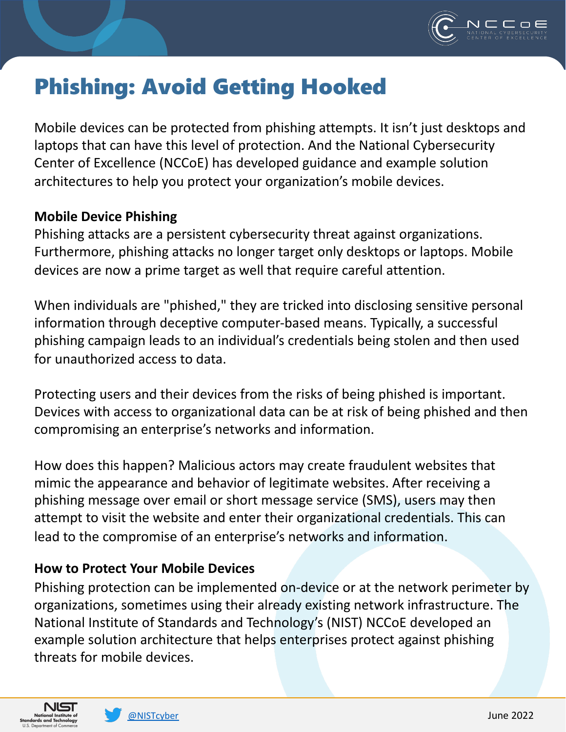

## Phishing: Avoid Getting Hooked

Mobile devices can be protected from phishing attempts. It isn't just desktops and laptops that can have this level of protection. And the National Cybersecurity Center of Excellence (NCCoE) has developed guidance and example solution architectures to help you protect your organization's mobile devices.

## **Mobile Device Phishing**

Phishing attacks are a persistent cybersecurity threat against organizations. Furthermore, phishing attacks no longer target only desktops or laptops. Mobile devices are now a prime target as well that require careful attention.

When individuals are "phished," they are tricked into disclosing sensitive personal information through deceptive computer-based means. Typically, a successful phishing campaign leads to an individual's credentials being stolen and then used for unauthorized access to data.

Protecting users and their devices from the risks of being phished is important. Devices with access to organizational data can be at risk of being phished and then compromising an enterprise's networks and information.

How does this happen? Malicious actors may create fraudulent websites that mimic the appearance and behavior of legitimate websites. After receiving a phishing message over email or short message service (SMS), users may then attempt to visit the website and enter their organizational credentials. This can lead to the compromise of an enterprise's networks and information.

## **How to Protect Your Mobile Devices**

Phishing protection can be implemented on-device or at the network perimeter by organizations, sometimes using their already existing network infrastructure. The National Institute of Standards and Technology's (NIST) NCCoE developed an example solution architecture that helps enterprises protect against phishing threats for mobile devices.